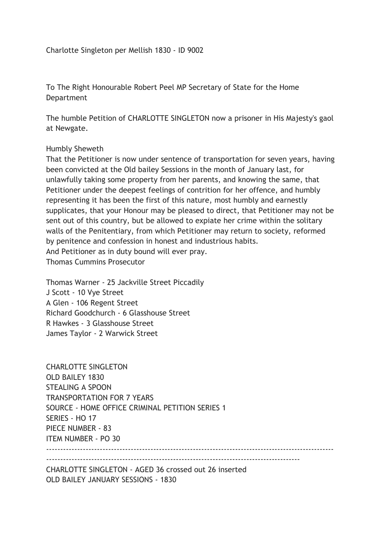To The Right Honourable Robert Peel MP Secretary of State for the Home Department

The humble Petition of CHARLOTTE SINGLETON now a prisoner in His Majesty's gaol at Newgate.

## Humbly Sheweth

That the Petitioner is now under sentence of transportation for seven years, having been convicted at the Old bailey Sessions in the month of January last, for unlawfully taking some property from her parents, and knowing the same, that Petitioner under the deepest feelings of contrition for her offence, and humbly representing it has been the first of this nature, most humbly and earnestly supplicates, that your Honour may be pleased to direct, that Petitioner may not be sent out of this country, but be allowed to expiate her crime within the solitary walls of the Penitentiary, from which Petitioner may return to society, reformed by penitence and confession in honest and industrious habits. And Petitioner as in duty bound will ever pray. Thomas Cummins Prosecutor

Thomas Warner - 25 Jackville Street Piccadily J Scott - 10 Vye Street A Glen - 106 Regent Street Richard Goodchurch - 6 Glasshouse Street R Hawkes - 3 Glasshouse Street James Taylor - 2 Warwick Street

CHARLOTTE SINGLETON OLD BAILEY 1830 STEALING A SPOON TRANSPORTATION FOR 7 YEARS SOURCE - HOME OFFICE CRIMINAL PETITION SERIES 1 SERIES - HO 17 PIECE NUMBER - 83 ITEM NUMBER - PO 30  $-$ ------------------------------------------------------------------------------------------

CHARLOTTE SINGLETON - AGED 36 crossed out 26 inserted OLD BAILEY JANUARY SESSIONS - 1830